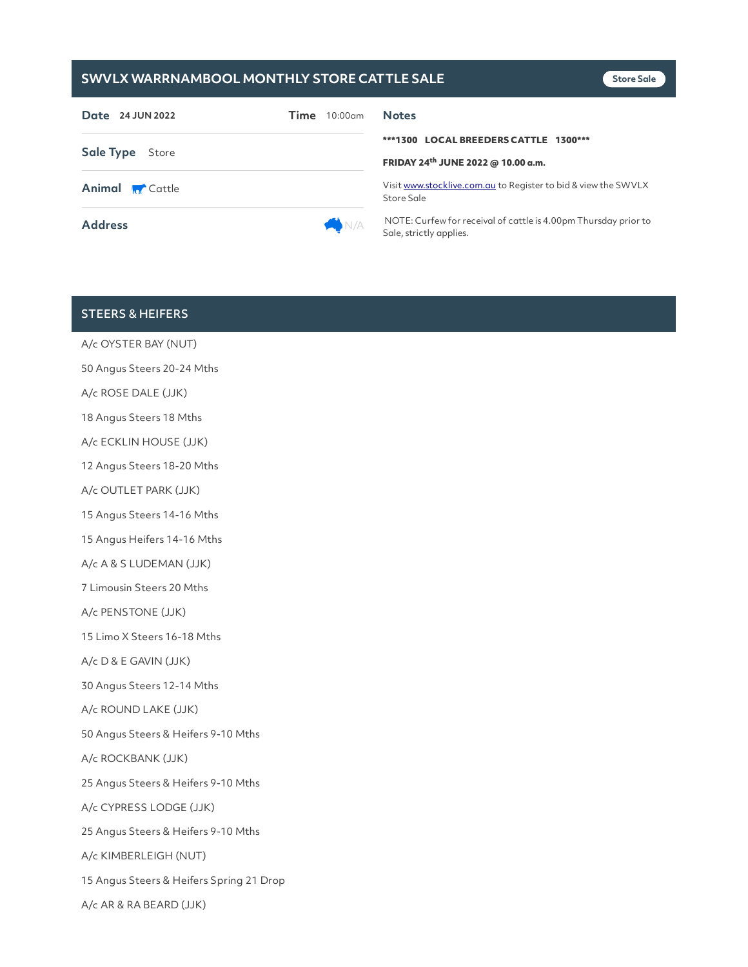## **SWVLX WARRNAMBOOL MONTHLY STORE CATTLE SALE**

| Date 24 JUN 2022       | $10:00$ am<br>Time | <b>Notes</b>                                                                               |
|------------------------|--------------------|--------------------------------------------------------------------------------------------|
| <b>Sale Type</b> Store |                    | ***1300 LOCAL BREEDERS CATTLE 1300***<br>FRIDAY 24th JUNE 2022 @ 10.00 a.m.                |
| <b>Animal R</b> Cattle |                    | Visit www.stocklive.com.au to Register to bid & view the SWVLX<br>Store Sale               |
| <b>Address</b>         | N/A                | NOTE: Curfew for receival of cattle is 4.00pm Thursday prior to<br>Sale, strictly applies. |

### STEERS & HEIFERS

A/c OYSTER BAY (NUT) 50 Angus Steers 20-24 Mths A/c ROSE DALE (JJK) 18 Angus Steers 18 Mths A/c ECKLIN HOUSE (JJK) 12 Angus Steers 18-20 Mths A/c OUTLET PARK (JJK) 15 Angus Steers 14-16 Mths 15 Angus Heifers 14-16 Mths A/c A & S LUDEMAN (JJK) 7 Limousin Steers 20 Mths A/c PENSTONE (JJK) 15 Limo X Steers 16-18 Mths A/c D & E GAVIN (JJK) 30 Angus Steers 12-14 Mths A/c ROUND LAKE (JJK) 50 Angus Steers & Heifers 9-10 Mths A/c ROCKBANK (JJK) 25 Angus Steers & Heifers 9-10 Mths A/c CYPRESS LODGE (JJK) 25 Angus Steers & Heifers 9-10 Mths A/c KIMBERLEIGH (NUT) 15 Angus Steers & Heifers Spring 21 Drop A/c AR & RA BEARD (JJK)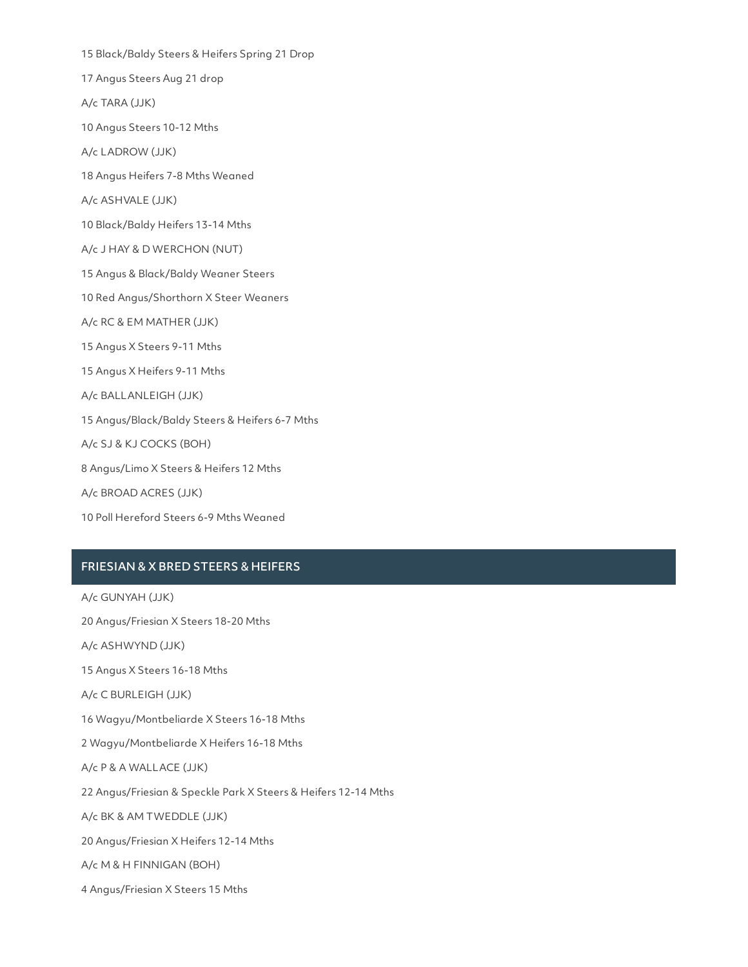15 Black/Baldy Steers & Heifers Spring 21 Drop 17 Angus Steers Aug 21 drop A/c TARA (JJK) 10 Angus Steers 10-12 Mths A/c LADROW (JJK) 18 Angus Heifers 7-8 Mths Weaned A/c ASHVALE (JJK) 10 Black/Baldy Heifers 13-14 Mths A/c J HAY & D WERCHON (NUT) 15 Angus & Black/Baldy Weaner Steers 10 Red Angus/Shorthorn X Steer Weaners A/c RC & EM MATHER (JJK) 15 Angus X Steers 9-11 Mths 15 Angus X Heifers 9-11 Mths A/c BALLANLEIGH (JJK) 15 Angus/Black/Baldy Steers & Heifers 6-7 Mths A/c SJ & KJ COCKS (BOH) 8 Angus/Limo X Steers & Heifers 12 Mths A/c BROAD ACRES (JJK) 10 Poll Hereford Steers 6-9 Mths Weaned

### FRIESIAN & X BRED STEERS & HEIFERS

A/c GUNYAH (JJK)

20 Angus/Friesian X Steers 18-20 Mths

A/c ASHWYND (JJK)

15 Angus X Steers 16-18 Mths

A/c C BURLEIGH (JJK)

16 Wagyu/Montbeliarde X Steers 16-18 Mths

2 Wagyu/Montbeliarde X Heifers 16-18 Mths

A/c P & A WALLACE (JJK)

22 Angus/Friesian & Speckle Park X Steers & Heifers 12-14 Mths

A/c BK & AM TWEDDLE (JJK)

20 Angus/Friesian X Heifers 12-14 Mths

A/c M & H FINNIGAN (BOH)

4 Angus/Friesian X Steers 15 Mths